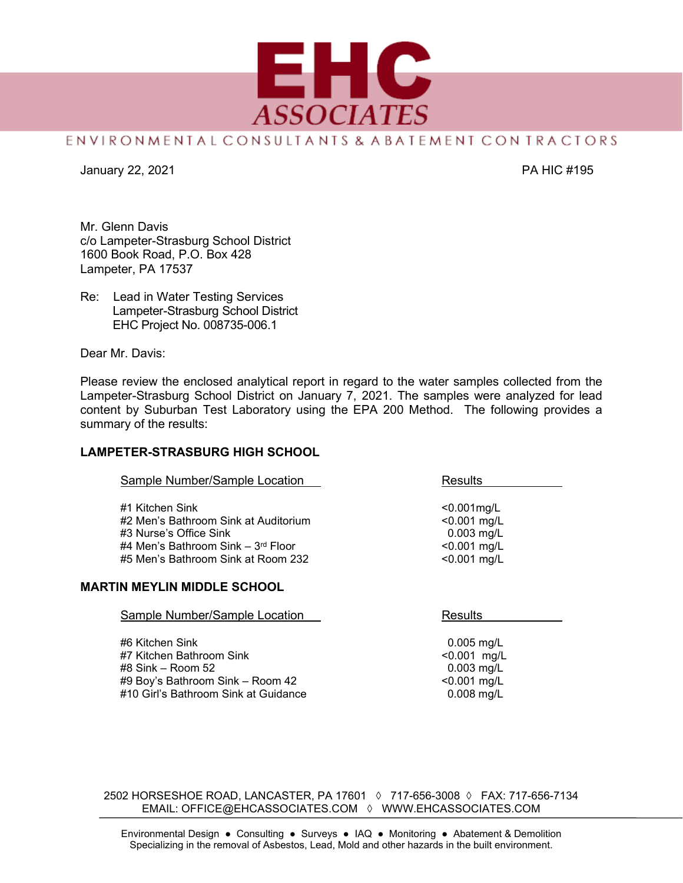

## ENVIRONMENTAL CONSULTANTS & ABATEMENT CON TRACTORS

January 22, 2021 PA HIC #195

Mr. Glenn Davis c/o Lampeter-Strasburg School District 1600 Book Road, P.O. Box 428 Lampeter, PA 17537

Re: Lead in Water Testing Services Lampeter-Strasburg School District EHC Project No. 008735-006.1

Dear Mr. Davis:

Please review the enclosed analytical report in regard to the water samples collected from the Lampeter-Strasburg School District on January 7, 2021. The samples were analyzed for lead content by Suburban Test Laboratory using the EPA 200 Method. The following provides a summary of the results:

## **LAMPETER-STRASBURG HIGH SCHOOL**

| Sample Number/Sample Location                                                                                                                                   | Results                                                                              |
|-----------------------------------------------------------------------------------------------------------------------------------------------------------------|--------------------------------------------------------------------------------------|
| #1 Kitchen Sink<br>#2 Men's Bathroom Sink at Auditorium<br>#3 Nurse's Office Sink<br>#4 Men's Bathroom Sink – $3rd$ Floor<br>#5 Men's Bathroom Sink at Room 232 | $< 0.001$ mg/L<br>$< 0.001$ mg/L<br>$0.003$ mg/L<br>$< 0.001$ mg/L<br>$< 0.001$ mg/L |
| <b>MARTIN MEYLIN MIDDLE SCHOOL</b>                                                                                                                              |                                                                                      |
| Sample Number/Sample Location                                                                                                                                   | Results                                                                              |

#6 Kitchen Sink 0.005 mg/L #7 Kitchen Bathroom Sink #8 Sink – Room 52 0.003 mg/L #9 Boy's Bathroom Sink – Room 42 <0.001 mg/L #10 Girl's Bathroom Sink at Guidance

2502 HORSESHOE ROAD, LANCASTER, PA 17601 ◊ 717-656-3008 ◊ FAX: 717-656-7134 EMAIL: OFFICE@EHCASSOCIATES.COM ◊ WWW.EHCASSOCIATES.COM